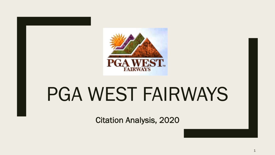

# PGA WEST FAIRWAYS

Citation Analysis, 2020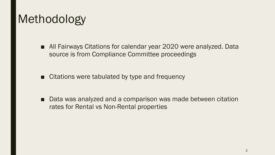### Methodology

- All Fairways Citations for calendar year 2020 were analyzed. Data source is from Compliance Committee proceedings
- Citations were tabulated by type and frequency

■ Data was analyzed and a comparison was made between citation rates for Rental vs Non-Rental properties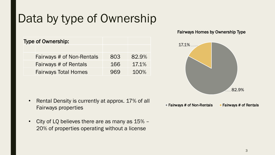### Data by type of Ownership

| <b>Type of Ownership:</b>   |     |       |
|-----------------------------|-----|-------|
|                             |     |       |
| Fairways # of Non-Rentals   | 803 | 82.9% |
| Fairways # of Rentals       | 166 | 17.1% |
| <b>Fairways Total Homes</b> | 969 | 100%  |

- Rental Density is currently at approx. 17% of all Fairways properties
- City of LQ believes there are as many as 15% 20% of properties operating without a license

#### Fairways Homes by Ownership Type

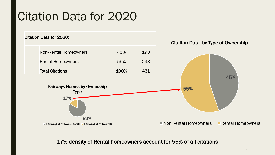#### Citation Data for 2020



17% density of Rental homeowners account for 55% of all citations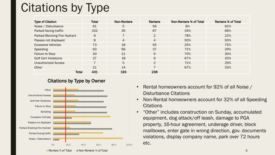## Citations by Type

| <b>Type of Citation</b>             | Total | <b>Non-Renters</b> | <b>Renters</b> | Non-Renters % of Total | <b>Renters % of Total</b> |
|-------------------------------------|-------|--------------------|----------------|------------------------|---------------------------|
| Noise / Disturbance                 | 61    | 5                  | 56             | 8%                     | 92%                       |
| Parked facing traffic               | 102   | 35                 | 67             | 34%                    | 66%                       |
| <b>Parked Blocking Fire Hydrant</b> | 9     |                    | $\overline{2}$ | 78%                    | 22%                       |
| Passes not displayed                | 8     | 4                  | 4              | 50%                    | 50%                       |
| <b>Excessive Vehicles</b>           | 73    | 18                 | 55             | 25%                    | 75%                       |
| <b>Speeding</b>                     | 93    | 66                 | 27             | 71%                    | 29%                       |
| <b>Failure to Stop</b>              | 30    | 21                 | 9              | 70%                    | 30%                       |
| <b>Golf Cart Violations</b>         | 27    | 18                 | 9              | 67%                    | 33%                       |
| <b>Unauthorized Access</b>          |       | 5                  | 2              | 71%                    | 29%                       |
| Other                               | 21    | 14                 |                | 67%                    | 33%                       |
| <b>Total</b>                        | 431   | 193                | 238            |                        |                           |

#### Citations by Type by Owner



- Rental homeowners account for 92% of all Noise / Disturbance Citations
- Non-Rental homeowners account for 32% of all Speeding **Citations**
- "Other" includes construction on Sunday, accumulated equipment, dog attack/off leash, damage to PGA property, 16-hour agreement, underage driver, block mailboxes, enter gate in wrong direction, gov. documents violations, display company name, park over 72 hours etc.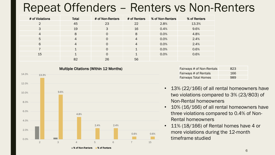#### Repeat Offenders – Renters vs Non-Renters

| # of Violations | <b>Total</b>   | # of Non-Renters | # of Renters   | % of Non-Renters | % of Renters |
|-----------------|----------------|------------------|----------------|------------------|--------------|
| $\overline{2}$  | 45             | 23               | 22             | 2.8%             | 13.3%        |
| 3               | 19             | 3                | 16             | 0.4%             | 9.6%         |
| $\overline{4}$  | 8              | $\Omega$         | 8              | 0.0%             | 4.8%         |
| 5               | $\overline{4}$ | $\Omega$         | $\overline{4}$ | 0.0%             | 2.4%         |
| 6               | $\overline{4}$ | $\Omega$         | $\overline{4}$ | 0.0%             | 2.4%         |
|                 |                | $\Omega$         | 1              | 0.0%             | 0.6%         |
| 15              | $\overline{ }$ | $\Omega$         | $\overline{ }$ | 0.0%             | 0.6%         |
|                 | 82             | 26               | 56             |                  |              |



Fairways # of Non-Rentals 823 Fairways # of Rentals 166 Fairways Total Homes 1989

- 13% (22/166) of all rental homeowners have two violations compared to 3% (23/803) of Non-Rental homeowners
- 10% (16/166) of all rental homeowners have three violations compared to 0.4% of Non-Rental homeowners
- 11% (18/166) of Rental homes have 4 or more violations during the 12-month timeframe studied